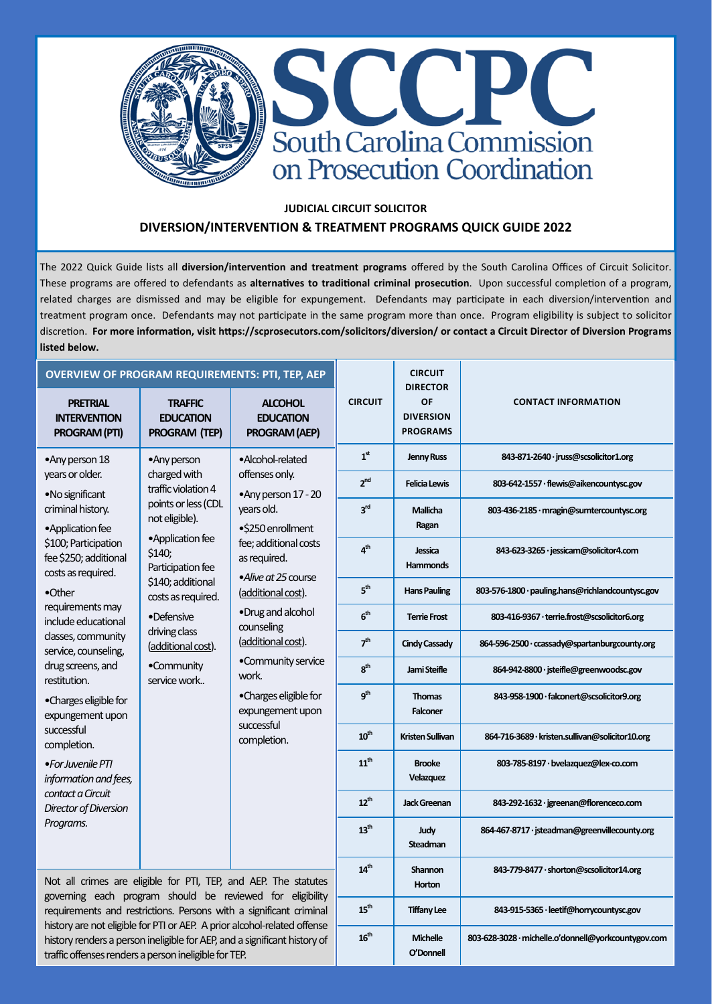

## **JUDICIAL CIRCUIT SOLICITOR DIVERSION/INTERVENTION & TREATMENT PROGRAMS QUICK GUIDE 2022**

The 2022 Quick Guide lists all **diversion/intervention and treatment programs** offered by the South Carolina Offices of Circuit Solicitor. These programs are offered to defendants as **alternatives to traditional criminal prosecution**. Upon successful completion of a program, related charges are dismissed and may be eligible for expungement. Defendants may participate in each diversion/intervention and treatment program once. Defendants may not participate in the same program more than once. Program eligibility is subject to solicitor discretion. **For more information, visit https://scprosecutors.com/solicitors/diversion/ or contact a Circuit Director of Diversion Programs listed below.**

 $\overline{\phantom{a}}$ 

 $\overline{\phantom{0}}$ 

| <b>OVERVIEW OF PROGRAM REQUIREMENTS: PTI, TEP, AEP</b>                                                                                                                                                                                                                                             |                                                                                                                                                                                                                                      |                                                                                                                                                                                                                                                                            |                              | <b>CIRCUIT</b><br><b>DIRECTOR</b>                   |                                                  |
|----------------------------------------------------------------------------------------------------------------------------------------------------------------------------------------------------------------------------------------------------------------------------------------------------|--------------------------------------------------------------------------------------------------------------------------------------------------------------------------------------------------------------------------------------|----------------------------------------------------------------------------------------------------------------------------------------------------------------------------------------------------------------------------------------------------------------------------|------------------------------|-----------------------------------------------------|--------------------------------------------------|
| <b>PRETRIAL</b><br><b>INTERVENTION</b><br><b>PROGRAM (PTI)</b>                                                                                                                                                                                                                                     | <b>TRAFFIC</b><br><b>EDUCATION</b><br>PROGRAM (TEP)                                                                                                                                                                                  | <b>ALCOHOL</b><br><b>EDUCATION</b><br>PROGRAM (AEP)                                                                                                                                                                                                                        | <b>CIRCUIT</b>               | <b>OF</b><br><b>DIVERSION</b><br><b>PROGRAMS</b>    | <b>CONTACT INFORMATION</b>                       |
| •Any person 18                                                                                                                                                                                                                                                                                     | •Any person                                                                                                                                                                                                                          | •Alcohol-related<br>offenses only.<br>•Any person 17 - 20<br>years old.<br>•\$250 enrollment<br>fee; additional costs<br>as required.<br>•Alive at 25 course<br>(additional cost).<br>•Drug and alcohol<br>counseling<br>(additional cost).<br>•Community service<br>work. | 1 <sup>st</sup>              | <b>Jenny Russ</b>                                   | 843-871-2640 · jruss@scsolicitor1.org            |
| years or older.<br>•No significant                                                                                                                                                                                                                                                                 | charged with<br>traffic violation 4                                                                                                                                                                                                  |                                                                                                                                                                                                                                                                            | 2 <sub>nd</sub>              | <b>Felicia Lewis</b>                                | 803-642-1557 · flewis@aikencountysc.gov          |
| criminal history.<br>• Application fee<br>\$100; Participation<br>fee \$250; additional<br>costs as required.<br>•Other<br>requirements may<br>include educational<br>classes, community<br>service, counseling,<br>drug screens, and<br>restitution.<br>•Charges eligible for<br>expungement upon | points or less (CDL<br>not eligible).<br>•Application fee<br>\$140;<br>Participation fee<br>\$140; additional<br>costs as required.<br>•Defensive<br>driving class<br>(additional cost).<br>•Community<br>service work<br>successful |                                                                                                                                                                                                                                                                            | 3 <sup>rd</sup>              | <b>Mallicha</b><br>Ragan                            | 803-436-2185 · mragin@sumtercountysc.org         |
|                                                                                                                                                                                                                                                                                                    |                                                                                                                                                                                                                                      |                                                                                                                                                                                                                                                                            | 4 <sup>th</sup>              | Jessica<br><b>Hammonds</b>                          | 843-623-3265 · jessicam@solicitor4.com           |
|                                                                                                                                                                                                                                                                                                    |                                                                                                                                                                                                                                      |                                                                                                                                                                                                                                                                            | 5 <sup>th</sup>              | <b>Hans Pauling</b>                                 | 803-576-1800 · pauling.hans@richlandcountysc.gov |
|                                                                                                                                                                                                                                                                                                    |                                                                                                                                                                                                                                      |                                                                                                                                                                                                                                                                            | 6 <sup>th</sup>              | <b>Terrie Frost</b>                                 | 803-416-9367 · terrie.frost@scsolicitor6.org     |
|                                                                                                                                                                                                                                                                                                    |                                                                                                                                                                                                                                      |                                                                                                                                                                                                                                                                            | 7 <sup>th</sup>              | <b>Cindy Cassady</b>                                | 864-596-2500 · ccassady@spartanburgcounty.org    |
|                                                                                                                                                                                                                                                                                                    |                                                                                                                                                                                                                                      |                                                                                                                                                                                                                                                                            | 8 <sup>th</sup>              | Jami Steifle                                        | 864-942-8800 · jsteifle@greenwoodsc.gov          |
|                                                                                                                                                                                                                                                                                                    |                                                                                                                                                                                                                                      | •Charges eligible for<br>expungement upon                                                                                                                                                                                                                                  | g <sup>th</sup>              | <b>Thomas</b><br>Falconer                           | 843-958-1900 · falconert@scsolicitor9.org        |
| successful<br>completion.                                                                                                                                                                                                                                                                          |                                                                                                                                                                                                                                      | completion.                                                                                                                                                                                                                                                                | $10^{\text{th}}$             | <b>Kristen Sullivan</b>                             | 864-716-3689 · kristen.sullivan@solicitor10.org  |
| •For Juvenile PTI<br>information and fees,<br>contact a Circuit<br>Director of Diversion<br>Programs.                                                                                                                                                                                              |                                                                                                                                                                                                                                      |                                                                                                                                                                                                                                                                            | 11 <sup>th</sup>             | <b>Brooke</b><br>Velazquez                          | 803-785-8197 · bvelazquez@lex-co.com             |
|                                                                                                                                                                                                                                                                                                    |                                                                                                                                                                                                                                      |                                                                                                                                                                                                                                                                            | $12^{th}$                    | <b>Jack Greenan</b>                                 | 843-292-1632 · jgreenan@florenceco.com           |
|                                                                                                                                                                                                                                                                                                    |                                                                                                                                                                                                                                      |                                                                                                                                                                                                                                                                            | 13 <sup>th</sup>             | Judy<br><b>Steadman</b>                             | 864-467-8717 · jsteadman@greenvillecounty.org    |
|                                                                                                                                                                                                                                                                                                    | Not all crimes are eligible for PTI, TEP, and AEP. The statutes                                                                                                                                                                      | 14 <sup>th</sup>                                                                                                                                                                                                                                                           | <b>Shannon</b><br>Horton     | 843-779-8477 · shorton@scsolicitor14.org            |                                                  |
|                                                                                                                                                                                                                                                                                                    | governing each program should be reviewed for eligibility<br>requirements and restrictions. Persons with a significant criminal                                                                                                      | 15 <sup>th</sup>                                                                                                                                                                                                                                                           | <b>Tiffany Lee</b>           | 843-915-5365 · leetif@horrycountysc.gov             |                                                  |
| traffic offenses renders a person ineligible for TEP.                                                                                                                                                                                                                                              | history are not eligible for PTI or AEP. A prior alcohol-related offense<br>history renders a person ineligible for AEP, and a significant history of                                                                                | 16 <sup>th</sup>                                                                                                                                                                                                                                                           | <b>Michelle</b><br>O'Donnell | 803-628-3028 · michelle.o'donnell@yorkcountygov.com |                                                  |